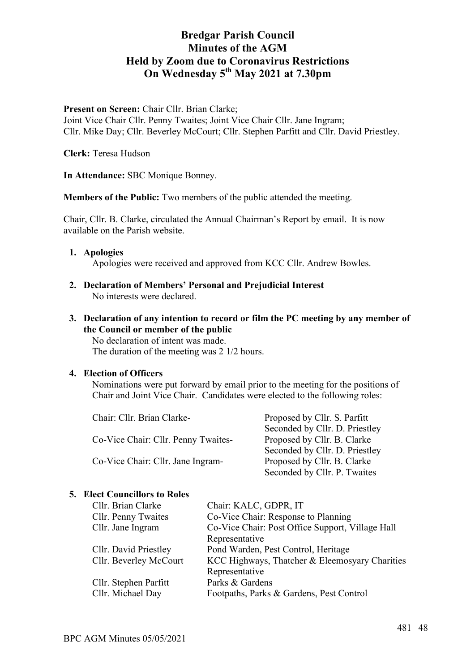Present on Screen: Chair Cllr. Brian Clarke;

Joint Vice Chair Cllr. Penny Twaites; Joint Vice Chair Cllr. Jane Ingram; Cllr. Mike Day; Cllr. Beverley McCourt; Cllr. Stephen Parfitt and Cllr. David Priestley.

**Clerk:** Teresa Hudson

**In Attendance:** SBC Monique Bonney.

**Members of the Public:** Two members of the public attended the meeting.

Chair, Cllr. B. Clarke, circulated the Annual Chairman's Report by email. It is now available on the Parish website.

- **1. Apologies** Apologies were received and approved from KCC Cllr. Andrew Bowles.
- **2. Declaration of Members' Personal and Prejudicial Interest** No interests were declared.
- **3. Declaration of any intention to record or film the PC meeting by any member of the Council or member of the public**

No declaration of intent was made. The duration of the meeting was 2 1/2 hours.

## **4. Election of Officers**

Nominations were put forward by email prior to the meeting for the positions of Chair and Joint Vice Chair. Candidates were elected to the following roles:

| Chair: Cllr. Brian Clarke-          | Proposed by Cllr. S. Parfitt   |  |
|-------------------------------------|--------------------------------|--|
|                                     | Seconded by Cllr. D. Priestley |  |
| Co-Vice Chair: Cllr. Penny Twaites- | Proposed by Cllr. B. Clarke    |  |
|                                     | Seconded by Cllr. D. Priestley |  |
| Co-Vice Chair: Cllr. Jane Ingram-   | Proposed by Cllr. B. Clarke    |  |
|                                     | Seconded by Cllr. P. Twaites   |  |

## **5. Elect Councillors to Roles**

| Chair: KALC, GDPR, IT                            |
|--------------------------------------------------|
| Co-Vice Chair: Response to Planning              |
| Co-Vice Chair: Post Office Support, Village Hall |
| Representative                                   |
| Pond Warden, Pest Control, Heritage              |
| KCC Highways, Thatcher & Eleemosyary Charities   |
| Representative                                   |
| Parks & Gardens                                  |
| Footpaths, Parks & Gardens, Pest Control         |
|                                                  |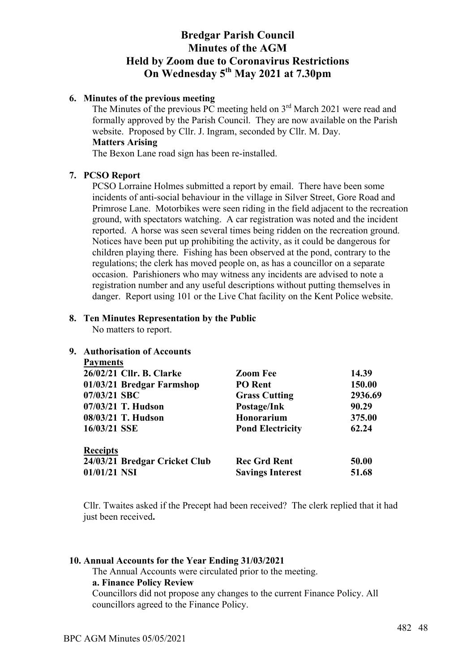## **6. Minutes of the previous meeting**

The Minutes of the previous PC meeting held on  $3<sup>rd</sup>$  March 2021 were read and formally approved by the Parish Council. They are now available on the Parish website. Proposed by Cllr. J. Ingram, seconded by Cllr. M. Day. **Matters Arising**

The Bexon Lane road sign has been re-installed.

## **7. PCSO Report**

PCSO Lorraine Holmes submitted a report by email. There have been some incidents of anti-social behaviour in the village in Silver Street, Gore Road and Primrose Lane. Motorbikes were seen riding in the field adjacent to the recreation ground, with spectators watching. A car registration was noted and the incident reported. A horse was seen several times being ridden on the recreation ground. Notices have been put up prohibiting the activity, as it could be dangerous for children playing there. Fishing has been observed at the pond, contrary to the regulations; the clerk has moved people on, as has a councillor on a separate occasion. Parishioners who may witness any incidents are advised to note a registration number and any useful descriptions without putting themselves in danger. Report using 101 or the Live Chat facility on the Kent Police website.

## **8. Ten Minutes Representation by the Public**

No matters to report.

## **9. Authorisation of Accounts**

| <b>Payments</b>               |                         |         |
|-------------------------------|-------------------------|---------|
| 26/02/21 Cllr. B. Clarke      | <b>Zoom Fee</b>         | 14.39   |
| 01/03/21 Bredgar Farmshop     | PO Rent                 | 150.00  |
| 07/03/21 SBC                  | <b>Grass Cutting</b>    | 2936.69 |
| 07/03/21 T. Hudson            | Postage/Ink             | 90.29   |
| 08/03/21 T. Hudson            | Honorarium              | 375.00  |
| 16/03/21 SSE                  | <b>Pond Electricity</b> | 62.24   |
| <b>Receipts</b>               |                         |         |
| 24/03/21 Bredgar Cricket Club | <b>Rec Grd Rent</b>     | 50.00   |
| $01/01/21$ NSI                | <b>Savings Interest</b> | 51.68   |

Cllr. Twaites asked if the Precept had been received? The clerk replied that it had just been received**.**

## **10. Annual Accounts for the Year Ending 31/03/2021**

The Annual Accounts were circulated prior to the meeting. **a. Finance Policy Review** Councillors did not propose any changes to the current Finance Policy. All councillors agreed to the Finance Policy.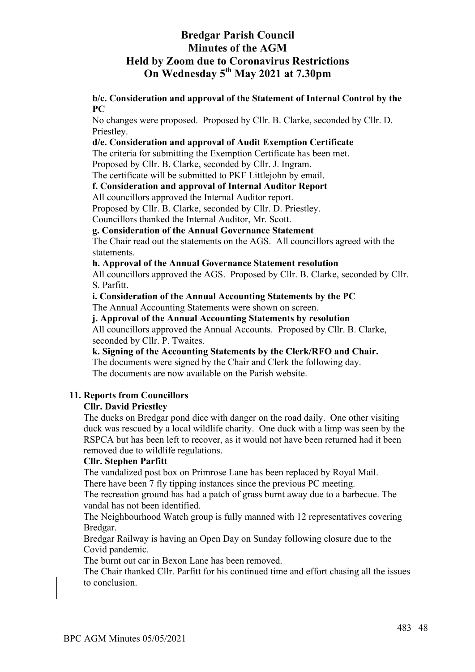**b/c. Consideration and approval of the Statement of Internal Control by the PC**

No changes were proposed. Proposed by Cllr. B. Clarke, seconded by Cllr. D. Priestley.

## **d/e. Consideration and approval of Audit Exemption Certificate**

The criteria for submitting the Exemption Certificate has been met.

Proposed by Cllr. B. Clarke, seconded by Cllr. J. Ingram.

The certificate will be submitted to PKF Littlejohn by email.

## **f. Consideration and approval of Internal Auditor Report**

All councillors approved the Internal Auditor report.

Proposed by Cllr. B. Clarke, seconded by Cllr. D. Priestley.

Councillors thanked the Internal Auditor, Mr. Scott.

## **g. Consideration of the Annual Governance Statement**

The Chair read out the statements on the AGS. All councillors agreed with the statements.

## **h. Approval of the Annual Governance Statement resolution**

All councillors approved the AGS. Proposed by Cllr. B. Clarke, seconded by Cllr. S. Parfitt.

## **i. Consideration of the Annual Accounting Statements by the PC**

The Annual Accounting Statements were shown on screen.

### **j. Approval of the Annual Accounting Statements by resolution**

All councillors approved the Annual Accounts. Proposed by Cllr. B. Clarke, seconded by Cllr. P. Twaites.

**k. Signing of the Accounting Statements by the Clerk/RFO and Chair.**

The documents were signed by the Chair and Clerk the following day. The documents are now available on the Parish website.

## **11. Reports from Councillors**

## **Cllr. David Priestley**

The ducks on Bredgar pond dice with danger on the road daily. One other visiting duck was rescued by a local wildlife charity. One duck with a limp was seen by the RSPCA but has been left to recover, as it would not have been returned had it been removed due to wildlife regulations.

## **Cllr. Stephen Parfitt**

The vandalized post box on Primrose Lane has been replaced by Royal Mail. There have been 7 fly tipping instances since the previous PC meeting.

The recreation ground has had a patch of grass burnt away due to a barbecue. The vandal has not been identified.

The Neighbourhood Watch group is fully manned with 12 representatives covering Bredgar.

Bredgar Railway is having an Open Day on Sunday following closure due to the Covid pandemic.

The burnt out car in Bexon Lane has been removed.

The Chair thanked Cllr. Parfitt for his continued time and effort chasing all the issues to conclusion.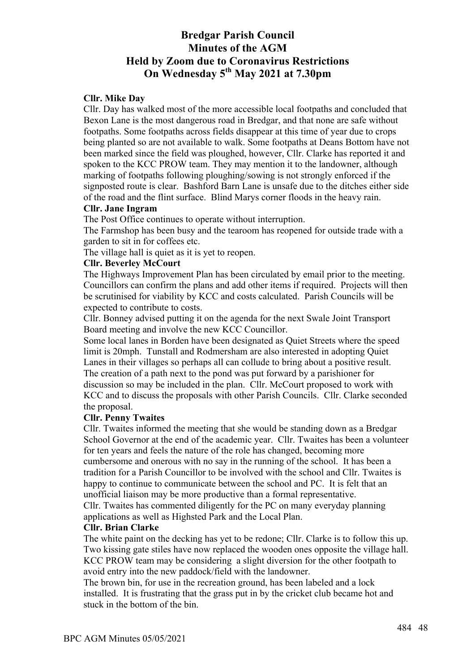### **Cllr. Mike Day**

Cllr. Day has walked most of the more accessible local footpaths and concluded that Bexon Lane is the most dangerous road in Bredgar, and that none are safe without footpaths. Some footpaths across fields disappear at this time of year due to crops being planted so are not available to walk. Some footpaths at Deans Bottom have not been marked since the field was ploughed, however, Cllr. Clarke has reported it and spoken to the KCC PROW team. They may mention it to the landowner, although marking of footpaths following ploughing/sowing is not strongly enforced if the signposted route is clear. Bashford Barn Lane is unsafe due to the ditches either side of the road and the flint surface. Blind Marys corner floods in the heavy rain.

### **Cllr. Jane Ingram**

The Post Office continues to operate without interruption.

The Farmshop has been busy and the tearoom has reopened for outside trade with a garden to sit in for coffees etc.

The village hall is quiet as it is yet to reopen.

#### **Cllr. Beverley McCourt**

The Highways Improvement Plan has been circulated by email prior to the meeting. Councillors can confirm the plans and add other items if required. Projects will then be scrutinised for viability by KCC and costs calculated. Parish Councils will be expected to contribute to costs.

Cllr. Bonney advised putting it on the agenda for the next Swale Joint Transport Board meeting and involve the new KCC Councillor.

Some local lanes in Borden have been designated as Quiet Streets where the speed limit is 20mph. Tunstall and Rodmersham are also interested in adopting Quiet Lanes in their villages so perhaps all can collude to bring about a positive result. The creation of a path next to the pond was put forward by a parishioner for discussion so may be included in the plan. Cllr. McCourt proposed to work with KCC and to discuss the proposals with other Parish Councils. Cllr. Clarke seconded the proposal.

### **Cllr. Penny Twaites**

Cllr. Twaites informed the meeting that she would be standing down as a Bredgar School Governor at the end of the academic year. Cllr. Twaites has been a volunteer for ten years and feels the nature of the role has changed, becoming more cumbersome and onerous with no say in the running of the school. It has been a tradition for a Parish Councillor to be involved with the school and Cllr. Twaites is happy to continue to communicate between the school and PC. It is felt that an unofficial liaison may be more productive than a formal representative. Cllr. Twaites has commented diligently for the PC on many everyday planning applications as well as Highsted Park and the Local Plan.

#### **Cllr. Brian Clarke**

The white paint on the decking has yet to be redone; Cllr. Clarke is to follow this up. Two kissing gate stiles have now replaced the wooden ones opposite the village hall. KCC PROW team may be considering a slight diversion for the other footpath to avoid entry into the new paddock/field with the landowner.

The brown bin, for use in the recreation ground, has been labeled and a lock installed. It is frustrating that the grass put in by the cricket club became hot and stuck in the bottom of the bin.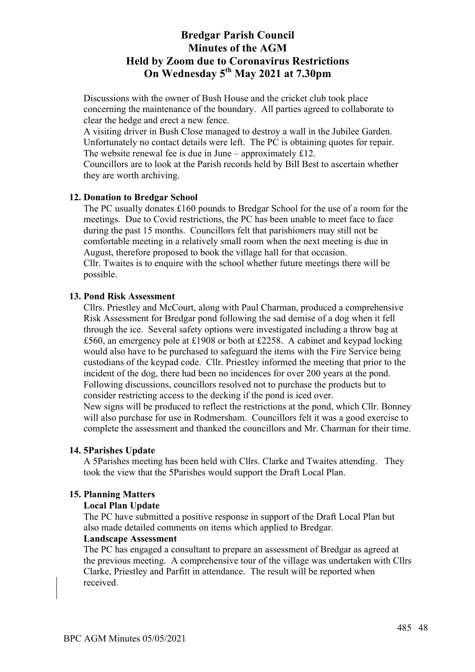Discussions with the owner of Bush House and the cricket club took place concerning the maintenance of the boundary. All parties agreed to collaborate to clear the hedge and erect a new fence.

A visiting driver in Bush Close managed to destroy a wall in the Jubilee Garden. Unfortunately no contact details were left. The PC is obtaining quotes for repair. The website renewal fee is due in June – approximately £12.

Councillors are to look at the Parish records held by Bill Best to ascertain whether they are worth archiving.

## **12. Donation to Bredgar School**

The PC usually donates £160 pounds to Bredgar School for the use of a room for the meetings. Due to Covid restrictions, the PC has been unable to meet face to face during the past 15 months. Councillors felt that parishioners may still not be comfortable meeting in a relatively small room when the next meeting is due in August, therefore proposed to book the village hall for that occasion. Cllr. Twaites is to enquire with the school whether future meetings there will be possible.

### **13. Pond Risk Assessment**

Cllrs. Priestley and McCourt, along with Paul Charman, produced a comprehensive Risk Assessment for Bredgar pond following the sad demise of a dog when it fell through the ice. Several safety options were investigated including a throw bag at £560, an emergency pole at £1908 or both at £2258. A cabinet and keypad locking would also have to be purchased to safeguard the items with the Fire Service being custodians of the keypad code. Cllr. Priestley informed the meeting that prior to the incident of the dog, there had been no incidences for over 200 years at the pond. Following discussions, councillors resolved not to purchase the products but to consider restricting access to the decking if the pond is iced over. New signs will be produced to reflect the restrictions at the pond, which Cllr. Bonney

will also purchase for use in Rodmersham. Councillors felt it was a good exercise to complete the assessment and thanked the councillors and Mr. Charman for their time.

### **14. 5Parishes Update**

A 5Parishes meeting has been held with Cllrs. Clarke and Twaites attending. They took the view that the 5Parishes would support the Draft Local Plan.

### **15. Planning Matters**

#### **Local Plan Update**

The PC have submitted a positive response in support of the Draft Local Plan but also made detailed comments on items which applied to Bredgar.

#### **Landscape Assessment**

The PC has engaged a consultant to prepare an assessment of Bredgar as agreed at the previous meeting. A comprehensive tour of the village was undertaken with Cllrs Clarke, Priestley and Parfitt in attendance. The result will be reported when received.